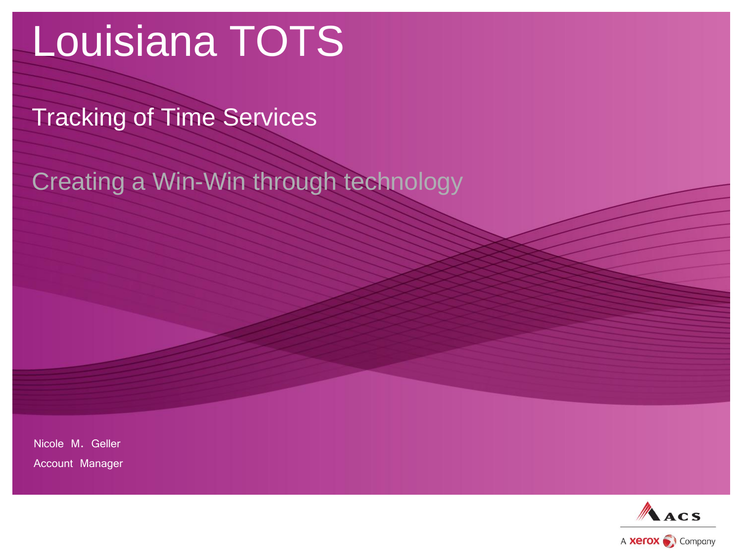# Louisiana TOTS

Tracking of Time Services

Creating a Win-Win through technology

Nicole M. Geller

Account Manager

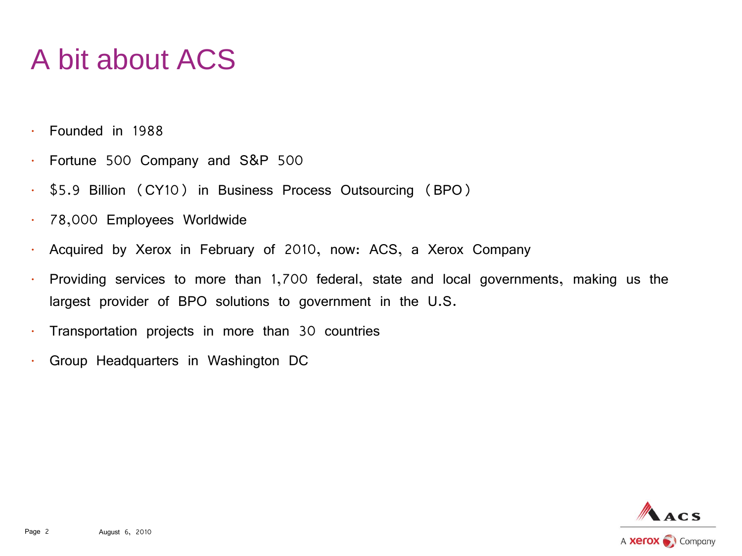## A bit about ACS

- Founded in 1988
- Fortune 500 Company and S&P 500
- \$5.9 Billion (CY10) in Business Process Outsourcing (BPO)
- 78,000 Employees Worldwide
- Acquired by Xerox in February of 2010, now: ACS, a Xerox Company
- Providing services to more than 1,700 federal, state and local governments, making us the largest provider of BPO solutions to government in the U.S.
- Transportation projects in more than 30 countries
- Group Headquarters in Washington DC

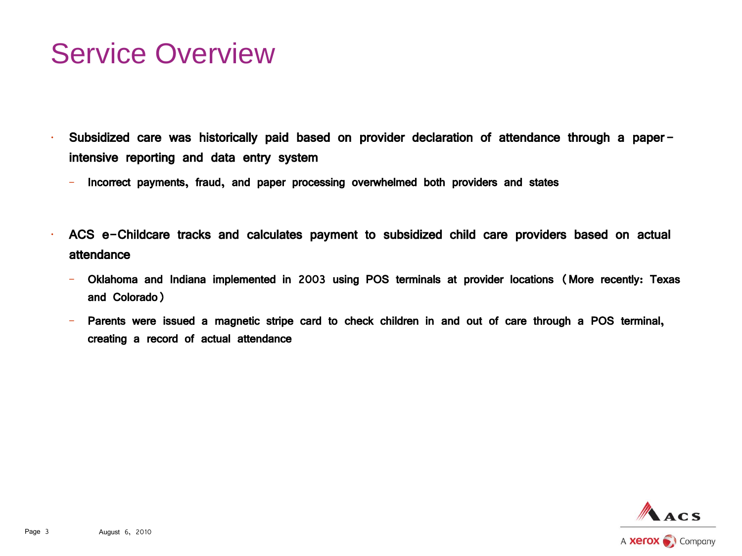#### Service Overview

- Subsidized care was historically paid based on provider declaration of attendance through a paperintensive reporting and data entry system
	- Incorrect payments, fraud, and paper processing overwhelmed both providers and states
- ACS e-Childcare tracks and calculates payment to subsidized child care providers based on actual attendance
	- Oklahoma and Indiana implemented in 2003 using POS terminals at provider locations (More recently: Texas and Colorado)
	- Parents were issued a magnetic stripe card to check children in and out of care through a POS terminal, creating a record of actual attendance

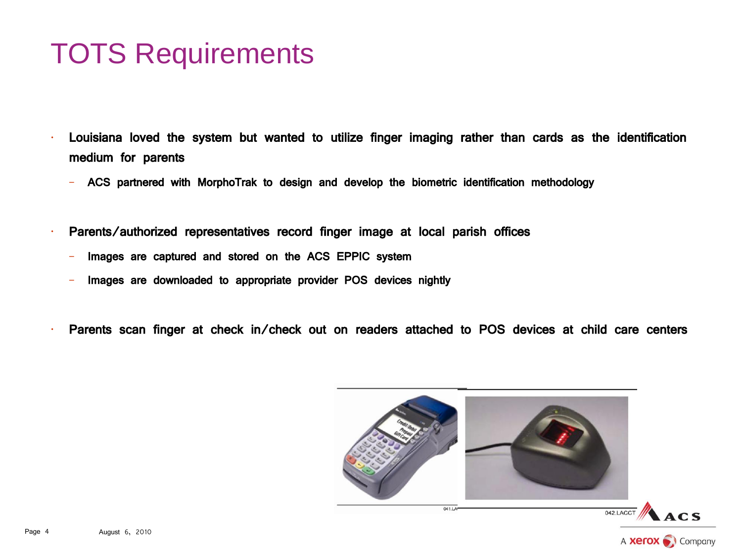#### TOTS Requirements

- Louisiana loved the system but wanted to utilize finger imaging rather than cards as the identification medium for parents
	- ACS partnered with MorphoTrak to design and develop the biometric identification methodology
- Parents/authorized representatives record finger image at local parish offices
	- lmages are captured and stored on the ACS EPPIC system
	- Images are downloaded to appropriate provider POS devices nightly
- Parents scan finger at check in/check out on readers attached to POS devices at child care centers

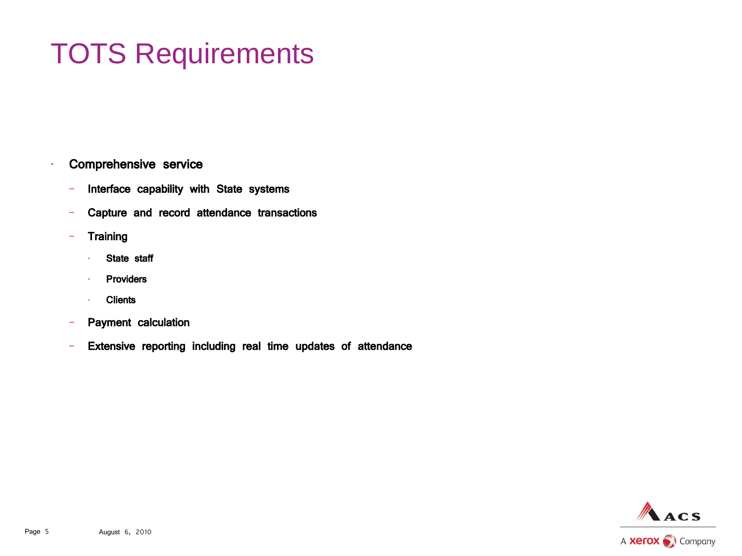# TOTS Requirements

- Comprehensive service
	- Interface capability with State systems
	- Capture and record attendance transactions
	- Training
		- State staff
		- **Providers**
		- **Clients**
	- Payment calculation
	- Extensive reporting including real time updates of attendance

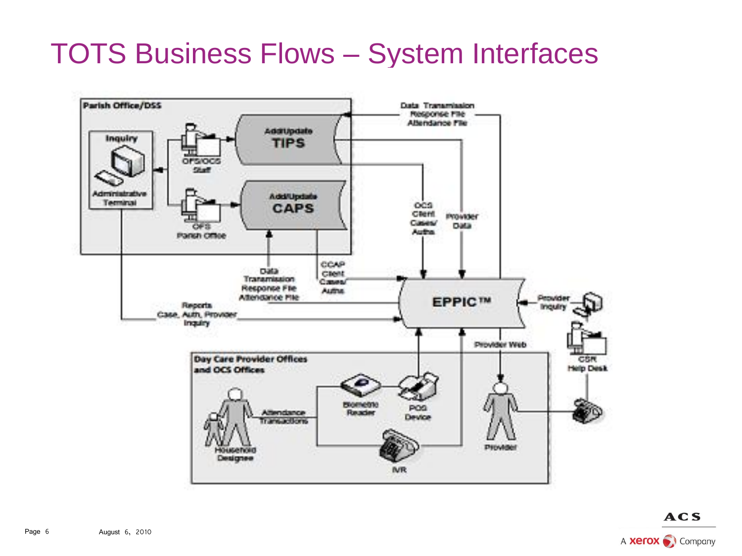### TOTS Business Flows – System Interfaces



**ACS** A **Xerox** Company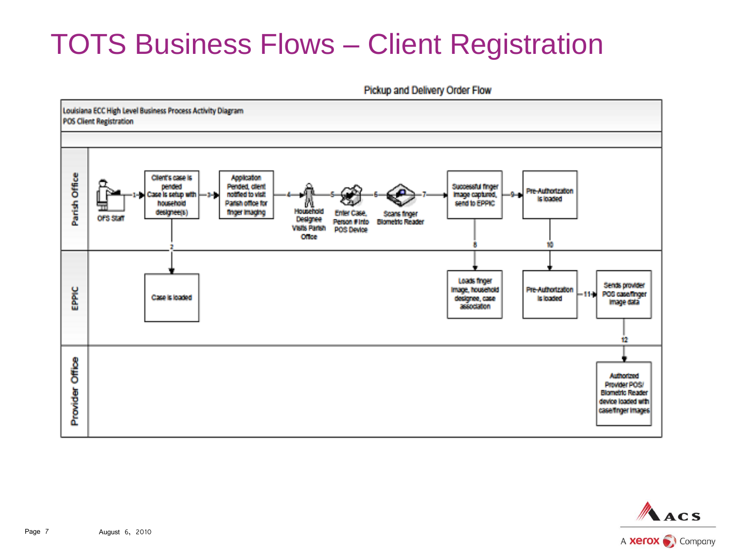## TOTS Business Flows – Client Registration

Pickup and Delivery Order Flow



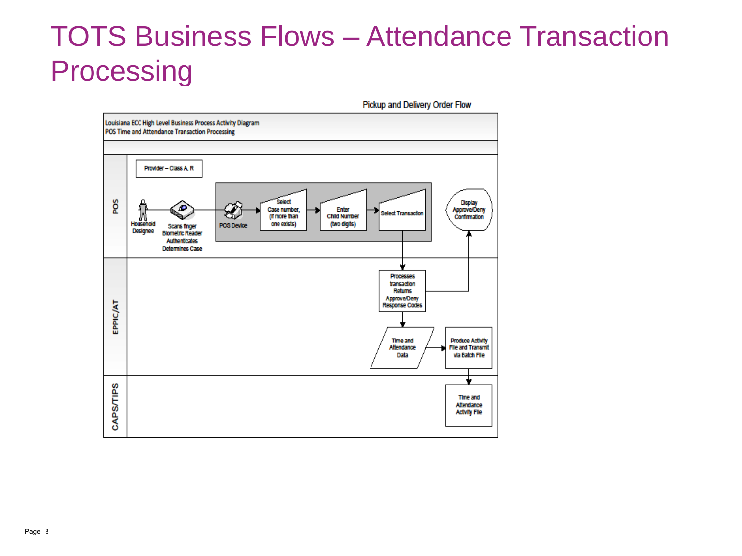## TOTS Business Flows – Attendance Transaction **Processing**

Pickup and Delivery Order Flow

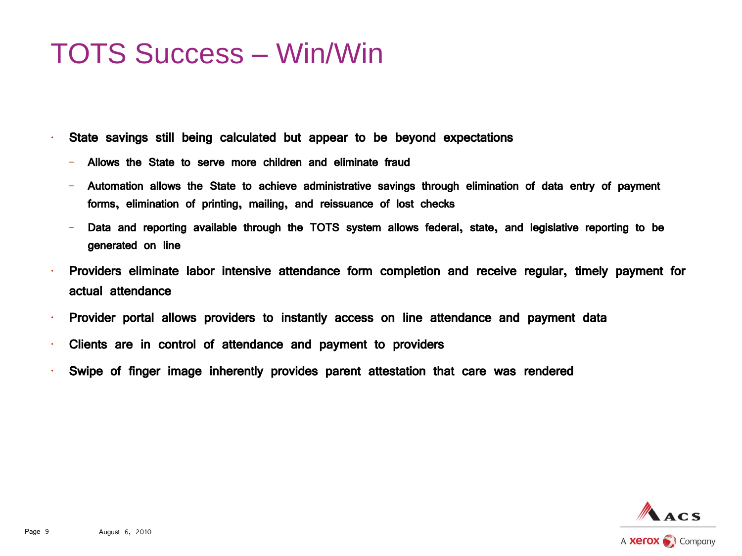#### TOTS Success – Win/Win

• State savings still being calculated but appear to be beyond expectations

- Allows the State to serve more children and eliminate fraud
- Automation allows the State to achieve administrative savings through elimination of data entry of payment forms, elimination of printing, mailing, and reissuance of lost checks
- Data and reporting available through the TOTS system allows federal, state, and legislative reporting to be generated on line
- Providers eliminate labor intensive attendance form completion and receive regular, timely payment for actual attendance
- Provider portal allows providers to instantly access on line attendance and payment data
- Clients are in control of attendance and payment to providers
- Swipe of finger image inherently provides parent attestation that care was rendered